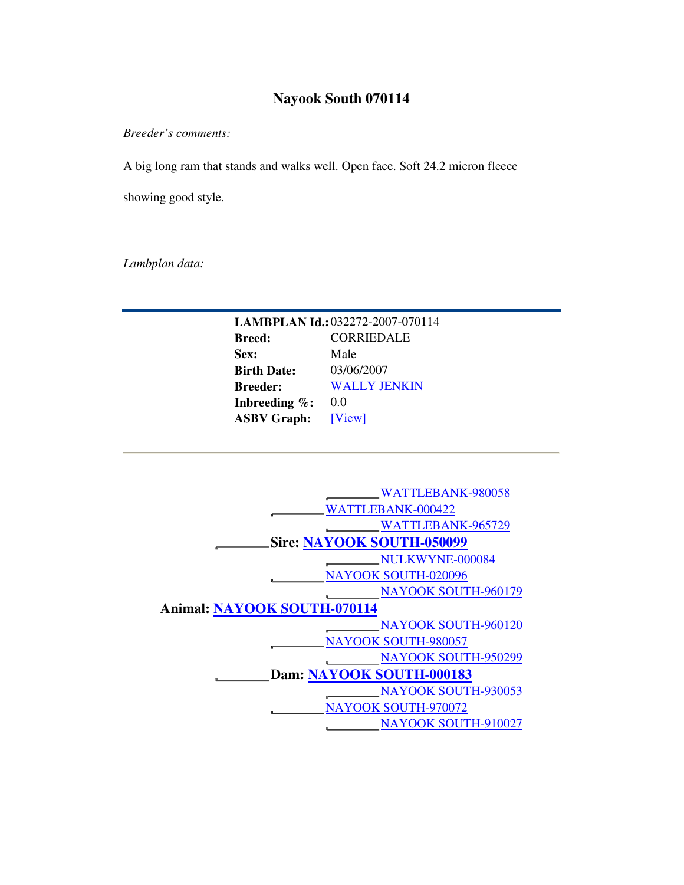## **Nayook South 070114**

*Breeder's comments:* 

A big long ram that stands and walks well. Open face. Soft 24.2 micron fleece

showing good style.

*Lambplan data:* 

| LAMBPLAN Id.: 032272-2007-070114 |                     |  |  |  |  |  |  |  |
|----------------------------------|---------------------|--|--|--|--|--|--|--|
| <b>Breed:</b>                    | <b>CORRIEDALE</b>   |  |  |  |  |  |  |  |
| Sex:                             | Male                |  |  |  |  |  |  |  |
| <b>Birth Date:</b>               | 03/06/2007          |  |  |  |  |  |  |  |
| <b>Breeder:</b>                  | <b>WALLY JENKIN</b> |  |  |  |  |  |  |  |
| Inbreeding $\%$ :                | 00                  |  |  |  |  |  |  |  |
| <b>ASBV Graph:</b>               | [View]              |  |  |  |  |  |  |  |
|                                  |                     |  |  |  |  |  |  |  |

| WATTLEBANK-980058                |  |  |  |  |  |  |  |  |  |
|----------------------------------|--|--|--|--|--|--|--|--|--|
|                                  |  |  |  |  |  |  |  |  |  |
| WATTLEBANK-000422                |  |  |  |  |  |  |  |  |  |
| WATTLEBANK-965729                |  |  |  |  |  |  |  |  |  |
| <b>Sire: NAYOOK SOUTH-050099</b> |  |  |  |  |  |  |  |  |  |
| NULKWYNE-000084                  |  |  |  |  |  |  |  |  |  |
| <b>NAYOOK SOUTH-020096</b>       |  |  |  |  |  |  |  |  |  |
| <b>NAYOOK SOUTH-960179</b>       |  |  |  |  |  |  |  |  |  |
| Animal: NAYOOK SOUTH-070114      |  |  |  |  |  |  |  |  |  |
| <b>NAYOOK SOUTH-960120</b>       |  |  |  |  |  |  |  |  |  |
| <b>NAYOOK SOUTH-980057</b>       |  |  |  |  |  |  |  |  |  |
| <b>NAYOOK SOUTH-950299</b>       |  |  |  |  |  |  |  |  |  |
| Dam: NAYOOK SOUTH-000183         |  |  |  |  |  |  |  |  |  |
| NAYOOK SOUTH-930053              |  |  |  |  |  |  |  |  |  |
| <b>NAYOOK SOUTH-970072</b>       |  |  |  |  |  |  |  |  |  |
| NAYOOK SOUTH-910027              |  |  |  |  |  |  |  |  |  |